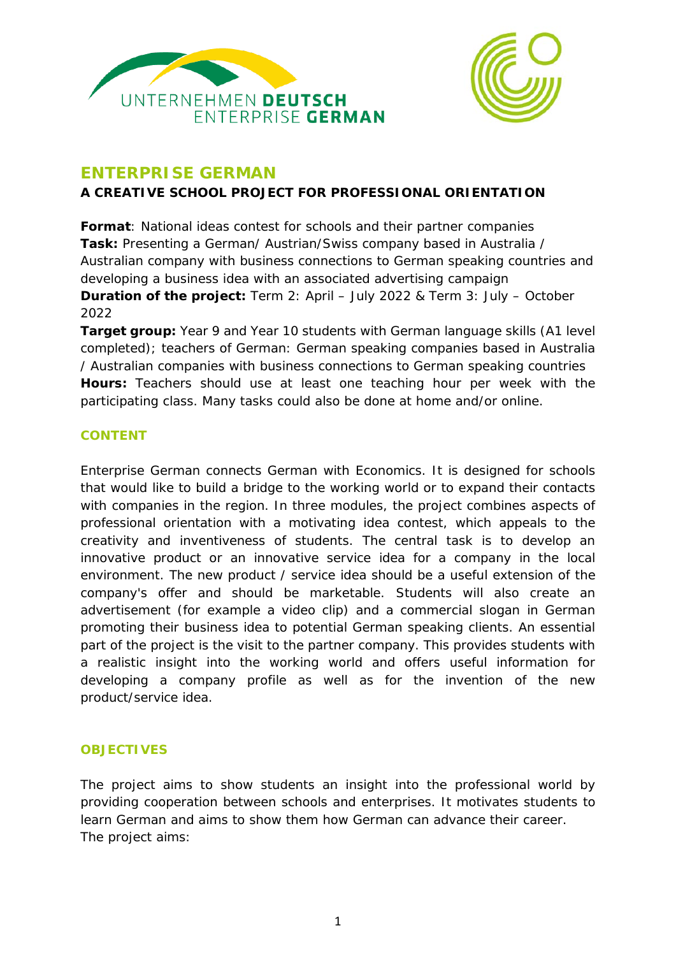



# **ENTERPRISE GERMAN**

**A CREATIVE SCHOOL PROJECT FOR PROFESSIONAL ORIENTATION**

**Format**: National ideas contest for schools and their partner companies **Task:** Presenting a German/ Austrian/Swiss company based in Australia / Australian company with business connections to German speaking countries and developing a business idea with an associated advertising campaign **Duration of the project:** Term 2: April – July 2022 & Term 3: July – October 2022

**Target group:** Year 9 and Year 10 students with German language skills (A1 level completed); teachers of German: German speaking companies based in Australia / Australian companies with business connections to German speaking countries **Hours:** Teachers should use at least one teaching hour per week with the participating class. Many tasks could also be done at home and/or online.

# **CONTENT**

Enterprise German connects German with Economics. It is designed for schools that would like to build a bridge to the working world or to expand their contacts with companies in the region. In three modules, the project combines aspects of professional orientation with a motivating idea contest, which appeals to the creativity and inventiveness of students. The central task is to develop an innovative product or an innovative service idea for a company in the local environment. The new product / service idea should be a useful extension of the company's offer and should be marketable. Students will also create an advertisement (for example a video clip) and a commercial slogan in German promoting their business idea to potential German speaking clients. An essential part of the project is the visit to the partner company. This provides students with a realistic insight into the working world and offers useful information for developing a company profile as well as for the invention of the new product/service idea.

# **OBJECTIVES**

The project aims to show students an insight into the professional world by providing cooperation between schools and enterprises. It motivates students to learn German and aims to show them how German can advance their career. The project aims: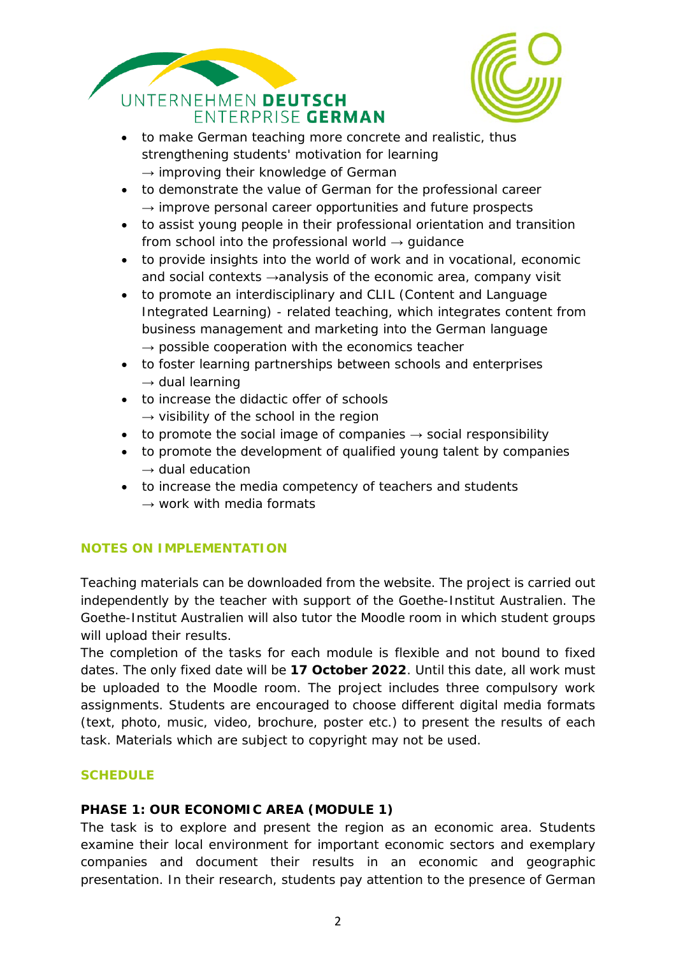



- to make German teaching more concrete and realistic, thus strengthening students' motivation for learning  $\rightarrow$  improving their knowledge of German
- to demonstrate the value of German for the professional career  $\rightarrow$  improve personal career opportunities and future prospects
- to assist young people in their professional orientation and transition from school into the professional world  $\rightarrow$  quidance
- to provide insights into the world of work and in vocational, economic and social contexts →analysis of the economic area, company visit
- to promote an interdisciplinary and CLIL (Content and Language Integrated Learning) - related teaching, which integrates content from business management and marketing into the German language  $\rightarrow$  possible cooperation with the economics teacher
- to foster learning partnerships between schools and enterprises  $\rightarrow$  dual learning
- to increase the didactic offer of schools  $\rightarrow$  visibility of the school in the region
- to promote the social image of companies  $\rightarrow$  social responsibility
- to promote the development of qualified young talent by companies  $\rightarrow$  dual education
- to increase the media competency of teachers and students  $\rightarrow$  work with media formats

# **NOTES ON IMPLEMENTATION**

Teaching materials can be downloaded from the website. The project is carried out independently by the teacher with support of the Goethe-Institut Australien. The Goethe-Institut Australien will also tutor the Moodle room in which student groups will upload their results.

The completion of the tasks for each module is flexible and not bound to fixed dates. The only fixed date will be **17 October 2022**. Until this date, all work must be uploaded to the Moodle room. The project includes three compulsory work assignments. Students are encouraged to choose different digital media formats (text, photo, music, video, brochure, poster etc.) to present the results of each task. Materials which are subject to copyright may not be used.

## **SCHEDULE**

## **PHASE 1: OUR ECONOMIC AREA (MODULE 1)**

The task is to explore and present the region as an economic area. Students examine their local environment for important economic sectors and exemplary companies and document their results in an economic and geographic presentation. In their research, students pay attention to the presence of German